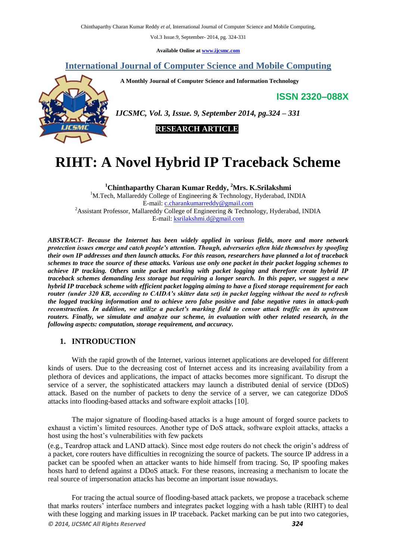Chinthaparthy Charan Kumar Reddy *et al*, International Journal of Computer Science and Mobile Computing,

Vol.3 Issue.9, September- 2014, pg. 324-331

**Available Online at [www.ijcsmc.com](http://www.ijcsmc.com/)**

# **International Journal of Computer Science and Mobile Computing**

 **A Monthly Journal of Computer Science and Information Technology**

**ISSN 2320–088X**



*IJCSMC, Vol. 3, Issue. 9, September 2014, pg.324 – 331*

 **RESEARCH ARTICLE**

# **RIHT: A Novel Hybrid IP Traceback Scheme**

**<sup>1</sup>Chinthaparthy Charan Kumar Reddy, <sup>2</sup>Mrs. K.Srilakshmi** <sup>1</sup>M.Tech, Mallareddy College of Engineering & Technology, Hyderabad, INDIA E-mail: [c.charankumarreddy@gmail.com](mailto:c.charankumarreddy@gmail.com) <sup>2</sup>Assistant Professor, Mallareddy College of Engineering & Technology, Hyderabad, INDIA E-mail: [ksrilakshmi.d@gmail.com](mailto:ksrilakshmi.d@gmail.com)

*ABSTRACT- Because the Internet has been widely applied in various fields, more and more network protection issues emerge and catch people's attention. Though, adversaries often hide themselves by spoofing their own IP addresses and then launch attacks. For this reason, researchers have planned a lot of traceback schemes to trace the source of these attacks. Various use only one packet in their packet logging schemes to achieve IP tracking. Others unite packet marking with packet logging and therefore create hybrid IP traceback schemes demanding less storage but requiring a longer search. In this paper, we suggest a new hybrid IP traceback scheme with efficient packet logging aiming to have a fixed storage requirement for each router (under 320 KB, according to CAIDA's skitter data set) in packet logging without the need to refresh the logged tracking information and to achieve zero false positive and false negative rates in attack-path reconstruction. In addition, we utilize a packet's marking field to censor attack traffic on its upstream routers. Finally, we simulate and analyze our scheme, in evaluation with other related research, in the following aspects: computation, storage requirement, and accuracy.*

## **1. INTRODUCTION**

With the rapid growth of the Internet, various internet applications are developed for different kinds of users. Due to the decreasing cost of Internet access and its increasing availability from a plethora of devices and applications, the impact of attacks becomes more significant. To disrupt the service of a server, the sophisticated attackers may launch a distributed denial of service (DDoS) attack. Based on the number of packets to deny the service of a server, we can categorize DDoS attacks into flooding-based attacks and software exploit attacks [10].

The major signature of flooding-based attacks is a huge amount of forged source packets to exhaust a victim's limited resources. Another type of DoS attack, software exploit attacks, attacks a host using the host's vulnerabilities with few packets

(e.g., Teardrop attack and LAND attack). Since most edge routers do not check the origin's address of a packet, core routers have difficulties in recognizing the source of packets. The source IP address in a packet can be spoofed when an attacker wants to hide himself from tracing. So, IP spoofing makes hosts hard to defend against a DDoS attack. For these reasons, increasing a mechanism to locate the real source of impersonation attacks has become an important issue nowadays.

*© 2014, IJCSMC All Rights Reserved 324* For tracing the actual source of flooding-based attack packets, we propose a traceback scheme that marks routers' interface numbers and integrates packet logging with a hash table (RIHT) to deal with these logging and marking issues in IP traceback. Packet marking can be put into two categories,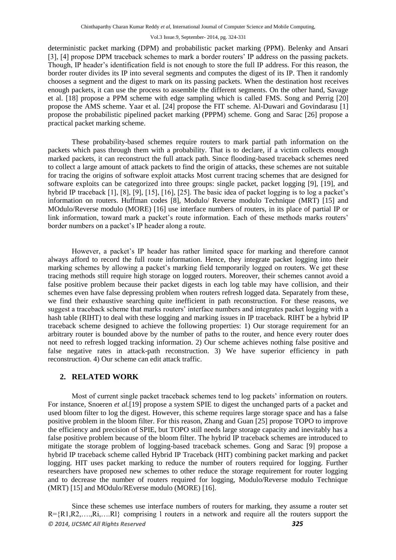deterministic packet marking (DPM) and probabilistic packet marking (PPM). Belenky and Ansari [3], [4] propose DPM traceback schemes to mark a border routers' IP address on the passing packets. Though, IP header's identification field is not enough to store the full IP address. For this reason, the border router divides its IP into several segments and computes the digest of its IP. Then it randomly chooses a segment and the digest to mark on its passing packets. When the destination host receives enough packets, it can use the process to assemble the different segments. On the other hand, Savage et al. [18] propose a PPM scheme with edge sampling which is called FMS. Song and Perrig [20] propose the AMS scheme. Yaar et al*.* [24] propose the FIT scheme. Al-Duwari and Govindarasu [1] propose the probabilistic pipelined packet marking (PPPM) scheme. Gong and Sarac [26] propose a practical packet marking scheme.

These probability-based schemes require routers to mark partial path information on the packets which pass through them with a probability. That is to declare, if a victim collects enough marked packets, it can reconstruct the full attack path. Since flooding-based traceback schemes need to collect a large amount of attack packets to find the origin of attacks, these schemes are not suitable for tracing the origins of software exploit attacks Most current tracing schemes that are designed for software exploits can be categorized into three groups: single packet, packet logging [9], [19], and hybrid IP traceback [1], [8], [9], [15], [16], [25]. The basic idea of packet logging is to log a packet's information on routers. Huffman codes [8], Modulo/ Reverse modulo Technique (MRT) [15] and MOdulo/Reverse modulo (MORE) [16] use interface numbers of routers, in its place of partial IP or link information, toward mark a packet's route information. Each of these methods marks routers' border numbers on a packet's IP header along a route.

However, a packet's IP header has rather limited space for marking and therefore cannot always afford to record the full route information. Hence, they integrate packet logging into their marking schemes by allowing a packet's marking field temporarily logged on routers. We get these tracing methods still require high storage on logged routers. Moreover, their schemes cannot avoid a false positive problem because their packet digests in each log table may have collision, and their schemes even have false depressing problem when routers refresh logged data. Separately from these, we find their exhaustive searching quite inefficient in path reconstruction. For these reasons, we suggest a traceback scheme that marks routers' interface numbers and integrates packet logging with a hash table (RIHT) to deal with these logging and marking issues in IP traceback. RIHT be a hybrid IP traceback scheme designed to achieve the following properties: 1) Our storage requirement for an arbitrary router is bounded above by the number of paths to the router, and hence every router does not need to refresh logged tracking information. 2) Our scheme achieves nothing false positive and false negative rates in attack-path reconstruction. 3) We have superior efficiency in path reconstruction. 4) Our scheme can edit attack traffic.

## **2. RELATED WORK**

Most of current single packet traceback schemes tend to log packets' information on routers. For instance, Snoeren *et al.*[19] propose a system SPIE to digest the unchanged parts of a packet and used bloom filter to log the digest. However, this scheme requires large storage space and has a false positive problem in the bloom filter. For this reason, Zhang and Guan [25] propose TOPO to improve the efficiency and precision of SPIE, but TOPO still needs large storage capacity and inevitably has a false positive problem because of the bloom filter. The hybrid IP traceback schemes are introduced to mitigate the storage problem of logging-based traceback schemes. Gong and Sarac [9] propose a hybrid IP traceback scheme called Hybrid IP Traceback (HIT) combining packet marking and packet logging. HIT uses packet marking to reduce the number of routers required for logging. Further researchers have proposed new schemes to other reduce the storage requirement for router logging and to decrease the number of routers required for logging, Modulo/Reverse modulo Technique (MRT) [15] and MOdulo/REverse modulo (MORE) [16].

*© 2014, IJCSMC All Rights Reserved 325* Since these schemes use interface numbers of routers for marking, they assume a router set  $R = \{R1, R2, \ldots, Ri, \ldots, Kl\}$  comprising l routers in a network and require all the routers support the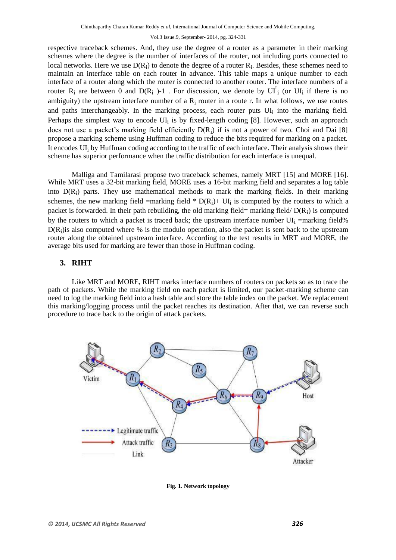respective traceback schemes. And, they use the degree of a router as a parameter in their marking schemes where the degree is the number of interfaces of the router, not including ports connected to local networks. Here we use  $D(R_i)$  to denote the degree of a router  $R_i$ . Besides, these schemes need to maintain an interface table on each router in advance. This table maps a unique number to each interface of a router along which the router is connected to another router. The interface numbers of a router R<sub>i</sub> are between 0 and D(R<sub>i</sub>)-1. For discussion, we denote by UI<sup>r</sup><sub>i</sub> (or UI<sub>i</sub> if there is no ambiguity) the upstream interface number of a  $R_i$  router in a route r. In what follows, we use routes and paths interchangeably. In the marking process, each router puts UI<sub>i</sub> into the marking field. Perhaps the simplest way to encode UI<sub>i</sub> is by fixed-length coding [8]. However, such an approach does not use a packet's marking field efficiently  $D(R_i)$  if is not a power of two. Choi and Dai [8] propose a marking scheme using Huffman coding to reduce the bits required for marking on a packet. It encodes UIi by Huffman coding according to the traffic of each interface. Their analysis shows their scheme has superior performance when the traffic distribution for each interface is unequal.

Malliga and Tamilarasi propose two traceback schemes, namely MRT [15] and MORE [16]. While MRT uses a 32-bit marking field, MORE uses a 16-bit marking field and separates a log table into D(R<sub>i</sub>) parts. They use mathematical methods to mark the marking fields. In their marking schemes, the new marking field =marking field  $* D(R_i)$ + UI<sub>i</sub> is computed by the routers to which a packet is forwarded. In their path rebuilding, the old marking field= marking field/ $D(R_i)$  is computed by the routers to which a packet is traced back; the upstream interface number  $UI_i$  =marking field%  $D(R<sub>i</sub>)$  is also computed where % is the modulo operation, also the packet is sent back to the upstream router along the obtained upstream interface. According to the test results in MRT and MORE, the average bits used for marking are fewer than those in Huffman coding.

## **3. RIHT**

Like MRT and MORE, RIHT marks interface numbers of routers on packets so as to trace the path of packets. While the marking field on each packet is limited, our packet-marking scheme can need to log the marking field into a hash table and store the table index on the packet. We replacement this marking/logging process until the packet reaches its destination. After that, we can reverse such procedure to trace back to the origin of attack packets.



**Fig. 1. Network topology**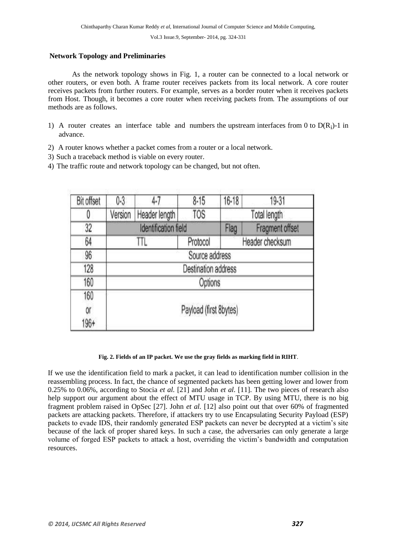### **Network Topology and Preliminaries**

As the network topology shows in Fig. 1, a router can be connected to a local network or other routers, or even both. A frame router receives packets from its local network. A core router receives packets from further routers. For example, serves as a border router when it receives packets from Host. Though, it becomes a core router when receiving packets from. The assumptions of our methods are as follows.

- 1) A router creates an interface table and numbers the upstream interfaces from 0 to  $D(R_i)$ -1 in advance.
- 2) A router knows whether a packet comes from a router or a local network.
- 3) Such a traceback method is viable on every router.
- 4) The traffic route and network topology can be changed, but not often.

| <b>Bit offset</b> | $0 - 3$                | $4-7$         | $8 - 15$                    | $16 - 18$ | 19-31           |
|-------------------|------------------------|---------------|-----------------------------|-----------|-----------------|
|                   | Version                | Header length | <b>TOS</b>                  |           | Total length    |
| 32                | Identification field   |               |                             | Flag      | Fragment offset |
| 64                |                        | Ш             | Header checksum<br>Protocol |           |                 |
| 96                | Source address         |               |                             |           |                 |
| 128               | Destination address    |               |                             |           |                 |
| 160               | Options                |               |                             |           |                 |
| 160<br>Oľ         | Payload (first 8bytes) |               |                             |           |                 |
| 196+              |                        |               |                             |           |                 |

#### **Fig. 2. Fields of an IP packet. We use the gray fields as marking field in RIHT**.

If we use the identification field to mark a packet, it can lead to identification number collision in the reassembling process. In fact, the chance of segmented packets has been getting lower and lower from 0.25% to 0.06%, according to Stocia *et al.* [21] and John *et al.* [11]. The two pieces of research also help support our argument about the effect of MTU usage in TCP. By using MTU, there is no big fragment problem raised in OpSec [27]. John *et al.* [12] also point out that over 60% of fragmented packets are attacking packets. Therefore, if attackers try to use Encapsulating Security Payload (ESP) packets to evade IDS, their randomly generated ESP packets can never be decrypted at a victim's site because of the lack of proper shared keys. In such a case, the adversaries can only generate a large volume of forged ESP packets to attack a host, overriding the victim's bandwidth and computation resources.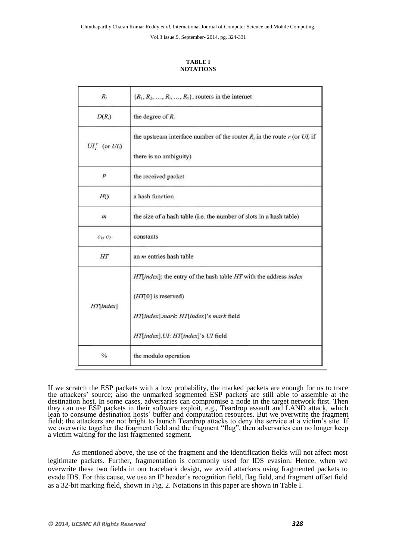#### **TABLE I NOTATIONS**

| $R_i$                    | $\{R_1, R_2, \ldots, R_i, \ldots, R_x\}$ , routers in the internet             |  |  |  |
|--------------------------|--------------------------------------------------------------------------------|--|--|--|
| $D(R_i)$                 | the degree of $R_i$                                                            |  |  |  |
| $UI'_{i}$ (or $UI_{i}$ ) | the upstream interface number of the router $R_i$ in the route r (or $UI_i$ if |  |  |  |
|                          | there is no ambiguity)                                                         |  |  |  |
| $\boldsymbol{P}$         | the received packet                                                            |  |  |  |
| H()                      | a hash function                                                                |  |  |  |
| m                        | the size of a hash table (i.e. the number of slots in a hash table)            |  |  |  |
| $c_1, c_2$               | constants                                                                      |  |  |  |
| HT                       | an <i>m</i> entries hash table                                                 |  |  |  |
|                          | $HT[index]$ : the entry of the hash table $HT$ with the address index          |  |  |  |
|                          | $(HT[0]$ is reserved)                                                          |  |  |  |
| HT[index]                | HT[index].mark: HT[index]'s mark field                                         |  |  |  |
|                          | HT[index].UI: HT[index]'s UI field                                             |  |  |  |
| $\frac{0}{6}$            | the modulo operation                                                           |  |  |  |

If we scratch the ESP packets with a low probability, the marked packets are enough for us to trace the attackers' source; also the unmarked segmented ESP packets are still able to assemble at the destination host. In some cases, adversaries can compromise a node in the target network first. Then they can use ESP packets in their software exploit, e.g., Teardrop assault and LAND attack, which lean to consume destination hosts' buffer and computation resources. But we overwrite the fragment field; the attackers are not bright to launch Teardrop attacks to deny the service at a victim's site. If we overwrite together the fragment field and the fragment "flag", then adversaries can no longer keep a victim waiting for the last fragmented segment.

As mentioned above, the use of the fragment and the identification fields will not affect most legitimate packets. Further, fragmentation is commonly used for IDS evasion. Hence, when we overwrite these two fields in our traceback design, we avoid attackers using fragmented packets to evade IDS. For this cause, we use an IP header's recognition field, flag field, and fragment offset field as a 32-bit marking field, shown in Fig. 2. Notations in this paper are shown in Table I.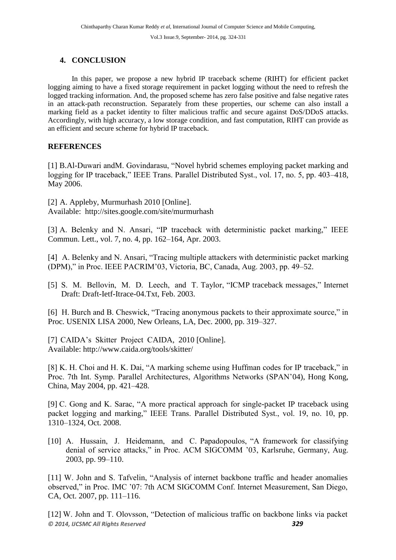# **4. CONCLUSION**

In this paper, we propose a new hybrid IP traceback scheme (RIHT) for efficient packet logging aiming to have a fixed storage requirement in packet logging without the need to refresh the logged tracking information. And, the proposed scheme has zero false positive and false negative rates in an attack-path reconstruction. Separately from these properties, our scheme can also install a marking field as a packet identity to filter malicious traffic and secure against DoS/DDoS attacks. Accordingly, with high accuracy, a low storage condition, and fast computation, RIHT can provide as an efficient and secure scheme for hybrid IP traceback.

# **REFERENCES**

[1] B.Al-Duwari andM. Govindarasu, "Novel hybrid schemes employing packet marking and logging for IP traceback," IEEE Trans. Parallel Distributed Syst., vol. 17, no. 5, pp. 403–418, May 2006.

[2] A. Appleby, Murmurhash 2010 [Online]. Available: [http://sites.google.c](http://sites.google/)om/site/murmurhash

[3] A. Belenky and N. Ansari, "IP traceback with deterministic packet marking," IEEE Commun. Lett., vol. 7, no. 4, pp. 162–164, Apr. 2003.

[4] A. Belenky and N. Ansari, "Tracing multiple attackers with deterministic packet marking (DPM)," in Proc. IEEE PACRIM'03, Victoria, BC, Canada, Aug. 2003, pp. 49–52.

[5] S. M. Bellovin, M. D. Leech, and T. Taylor, "ICMP traceback messages," Internet Draft: Draft-Ietf-Itrace-04.Txt, Feb. 2003.

[6] H. Burch and B. Cheswick, "Tracing anonymous packets to their approximate source," in Proc. USENIX LISA 2000, New Orleans, LA, Dec. 2000, pp. 319–327.

[7] CAIDA's Skitter Project CAIDA, 2010 [Online]. Available: http://www.caida.org/tools/skitter/

[8] K. H. Choi and H. K. Dai, "A marking scheme using Huffman codes for IP traceback," in Proc. 7th Int. Symp. Parallel Architectures, Algorithms Networks (SPAN'04), Hong Kong, China, May 2004, pp. 421–428.

[9] C. Gong and K. Sarac, "A more practical approach for single-packet IP traceback using packet logging and marking," IEEE Trans. Parallel Distributed Syst., vol. 19, no. 10, pp. 1310–1324, Oct. 2008.

[10] A. Hussain, J. Heidemann, and C. Papadopoulos, "A framework for classifying denial of service attacks," in Proc. ACM SIGCOMM '03, Karlsruhe, Germany, Aug. 2003, pp. 99–110.

[11] W. John and S. Tafvelin, "Analysis of internet backbone traffic and header anomalies observed," in Proc. IMC '07: 7th ACM SIGCOMM Conf. Internet Measurement, San Diego, CA, Oct. 2007, pp. 111–116.

*© 2014, IJCSMC All Rights Reserved 329* [12] W. John and T. Olovsson, "Detection of malicious traffic on backbone links via packet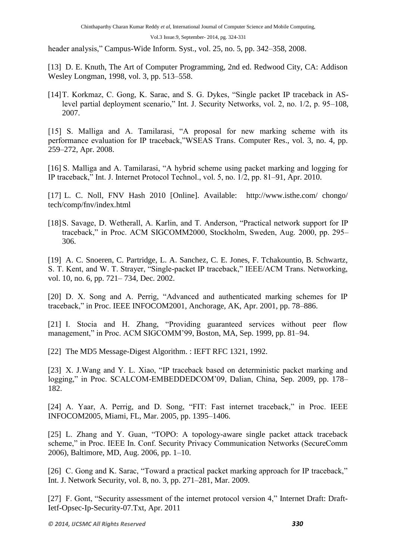header analysis," Campus-Wide Inform. Syst., vol. 25, no. 5, pp. 342–358, 2008.

[13] D. E. Knuth, The Art of Computer Programming, 2nd ed. Redwood City, CA: Addison Wesley Longman, 1998, vol. 3, pp. 513–558.

[14]T. Korkmaz, C. Gong, K. Sarac, and S. G. Dykes, "Single packet IP traceback in ASlevel partial deployment scenario," Int. J. Security Networks, vol. 2, no. 1/2, p. 95–108, 2007.

[15] S. Malliga and A. Tamilarasi, "A proposal for new marking scheme with its performance evaluation for IP traceback,"WSEAS Trans. Computer Res., vol. 3, no. 4, pp. 259–272, Apr. 2008.

[16] S. Malliga and A. Tamilarasi, "A hybrid scheme using packet marking and logging for IP traceback," Int. J. Internet Protocol Technol., vol. 5, no. 1/2, pp. 81–91, Apr. 2010.

[17] L. C. Noll, FNV Hash 2010 [Online]. Available: <http://www.isthe.com/> chongo/ tech/comp/fnv/index.html

[18] S. Savage, D. Wetherall, A. Karlin, and T. Anderson, "Practical network support for IP traceback," in Proc. ACM SIGCOMM2000, Stockholm, Sweden, Aug. 2000, pp. 295– 306.

[19] A. C. Snoeren, C. Partridge, L. A. Sanchez, C. E. Jones, F. Tchakountio, B. Schwartz, S. T. Kent, and W. T. Strayer, "Single-packet IP traceback," IEEE/ACM Trans. Networking, vol. 10, no. 6, pp. 721– 734, Dec. 2002.

[20] D. X. Song and A. Perrig, "Advanced and authenticated marking schemes for IP traceback," in Proc. IEEE INFOCOM2001, Anchorage, AK, Apr. 2001, pp. 78–886.

[21] I. Stocia and H. Zhang, "Providing guaranteed services without peer flow management," in Proc. ACM SIGCOMM'99, Boston, MA, Sep. 1999, pp. 81–94.

[22] The MD5 Message-Digest Algorithm. : IEFT RFC 1321, 1992.

[23] X. J.Wang and Y. L. Xiao, "IP traceback based on deterministic packet marking and logging," in Proc. SCALCOM-EMBEDDEDCOM'09, Dalian, China, Sep. 2009, pp. 178– 182.

[24] A. Yaar, A. Perrig, and D. Song, "FIT: Fast internet traceback," in Proc. IEEE INFOCOM2005, Miami, FL, Mar. 2005, pp. 1395–1406.

[25] L. Zhang and Y. Guan, "TOPO: A topology-aware single packet attack traceback scheme," in Proc. IEEE In. Conf. Security Privacy Communication Networks (SecureComm 2006), Baltimore, MD, Aug. 2006, pp. 1–10.

[26] C. Gong and K. Sarac, "Toward a practical packet marking approach for IP traceback," Int. J. Network Security, vol. 8, no. 3, pp. 271–281, Mar. 2009.

[27] F. Gont, "Security assessment of the internet protocol version 4," Internet Draft: Draft-Ietf-Opsec-Ip-Security-07.Txt, Apr. 2011